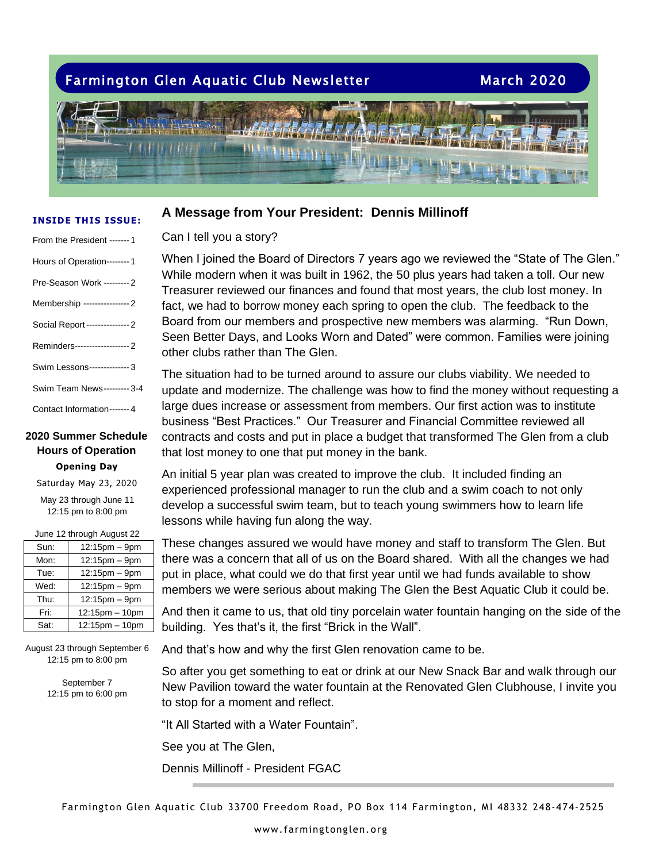# Farmington Glen Aquatic Club Newsletter March 2020

### **INSIDE THIS ISSUE:**

| From the President ------- 1    |
|---------------------------------|
| Hours of Operation---------1    |
| Pre-Season Work --------- 2     |
| Membership ---------------- 2   |
| Social Report---------------- 2 |
| Reminders------------------- 2  |
| Swim Lessons-------------- 3    |
| Swim Team News--------- 3-4     |
| Contact Information-------4     |

### **Opening Day 2020 Summer Schedule Hours of Operation**

Saturday May 23, 2020 May 23 through June 11 12:15 pm to 8:00 pm

 $J_{\text{max}}$  12 through August 22

| JUILE TZ IIIUUUII AUUUSI ZZ |                |  |  |  |
|-----------------------------|----------------|--|--|--|
| Sun:                        | 12:15pm - 9pm  |  |  |  |
| Mon:                        | 12:15pm - 9pm  |  |  |  |
| Tue:                        | 12:15pm - 9pm  |  |  |  |
| Wed:                        | 12:15pm - 9pm  |  |  |  |
| Thu:                        | 12:15pm - 9pm  |  |  |  |
| Fri:                        | 12:15pm - 10pm |  |  |  |
| Sat:                        | 12:15pm - 10pm |  |  |  |

August 23 through September 6 12:15 pm to 8:00 pm

> September 7 12:15 pm to 6:00 pm

# **A Message from Your President: Dennis Millinoff**

## Can I tell you a story?

When I joined the Board of Directors 7 years ago we reviewed the "State of The Glen." While modern when it was built in 1962, the 50 plus years had taken a toll. Our new Treasurer reviewed our finances and found that most years, the club lost money. In fact, we had to borrow money each spring to open the club. The feedback to the Board from our members and prospective new members was alarming. "Run Down, Seen Better Days, and Looks Worn and Dated" were common. Families were joining other clubs rather than The Glen.

The situation had to be turned around to assure our clubs viability. We needed to update and modernize. The challenge was how to find the money without requesting a large dues increase or assessment from members. Our first action was to institute business "Best Practices." Our Treasurer and Financial Committee reviewed all contracts and costs and put in place a budget that transformed The Glen from a club that lost money to one that put money in the bank.

An initial 5 year plan was created to improve the club. It included finding an experienced professional manager to run the club and a swim coach to not only develop a successful swim team, but to teach young swimmers how to learn life lessons while having fun along the way.

These changes assured we would have money and staff to transform The Glen. But there was a concern that all of us on the Board shared. With all the changes we had put in place, what could we do that first year until we had funds available to show members we were serious about making The Glen the Best Aquatic Club it could be.

And then it came to us, that old tiny porcelain water fountain hanging on the side of the building. Yes that's it, the first "Brick in the Wall".

And that's how and why the first Glen renovation came to be.

So after you get something to eat or drink at our New Snack Bar and walk through our New Pavilion toward the water fountain at the Renovated Glen Clubhouse, I invite you to stop for a moment and reflect.

"It All Started with a Water Fountain".

See you at The Glen,

Dennis Millinoff - President FGAC

Farmington Glen Aquatic Club 33700 Freedom Road, PO Box 114 Farmington, MI 48332 248-474-2525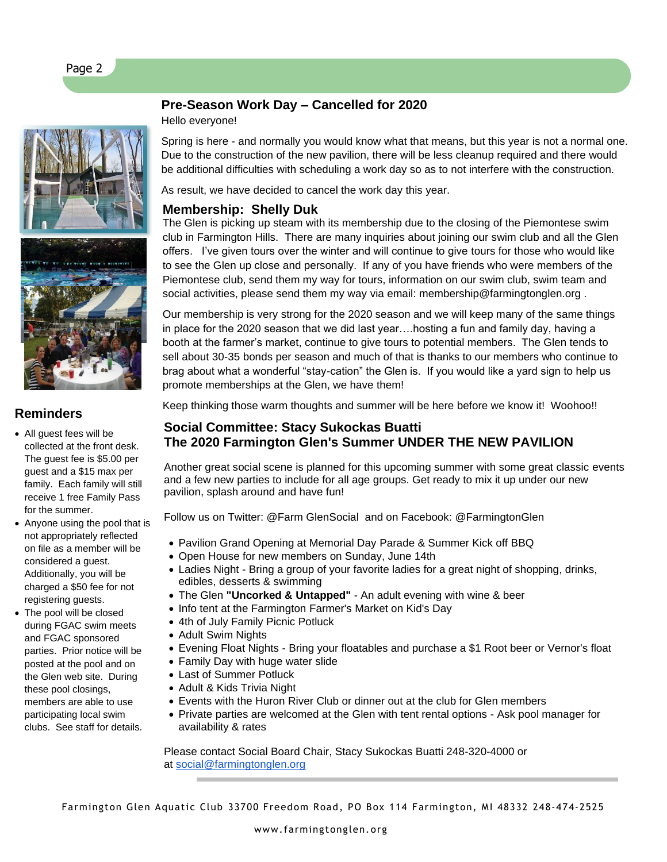



# **Reminders**

• All guest fees will be collected at the front desk. The guest fee is \$5.00 per guest and a \$15 max per family. Each family will still receive 1 free Family Pass for the summer.

- Anyone using the pool that is not appropriately reflected on file as a member will be considered a guest. Additionally, you will be charged a \$50 fee for not registering guests.
- The pool will be closed during FGAC swim meets and FGAC sponsored parties. Prior notice will be posted at the pool and on the Glen web site. During these pool closings, members are able to use participating local swim clubs. See staff for details.

# **Pre-Season Work Day – Cancelled for 2020**

Hello everyone!

Spring is here - and normally you would know what that means, but this year is not a normal one. Due to the construction of the new pavilion, there will be less cleanup required and there would be additional difficulties with scheduling a work day so as to not interfere with the construction.

As result, we have decided to cancel the work day this year.

# **Membership: Shelly Duk**

The Glen is picking up steam with its membership due to the closing of the Piemontese swim club in Farmington Hills. There are many inquiries about joining our swim club and all the Glen offers. I've given tours over the winter and will continue to give tours for those who would like to see the Glen up close and personally. If any of you have friends who were members of the Piemontese club, send them my way for tours, information on our swim club, swim team and social activities, please send them my way via email: membership@farmingtonglen.org .

Our membership is very strong for the 2020 season and we will keep many of the same things in place for the 2020 season that we did last year….hosting a fun and family day, having a booth at the farmer's market, continue to give tours to potential members. The Glen tends to sell about 30-35 bonds per season and much of that is thanks to our members who continue to brag about what a wonderful "stay-cation" the Glen is. If you would like a yard sign to help us promote memberships at the Glen, we have them!

Keep thinking those warm thoughts and summer will be here before we know it! Woohoo!!

# **Social Committee: Stacy Sukockas Buatti The 2020 Farmington Glen's Summer UNDER THE NEW PAVILION**

Another great social scene is planned for this upcoming summer with some great classic events and a few new parties to include for all age groups. Get ready to mix it up under our new pavilion, splash around and have fun!

Follow us on Twitter: @Farm GlenSocial and on Facebook: @FarmingtonGlen

- Pavilion Grand Opening at Memorial Day Parade & Summer Kick off BBQ
- Open House for new members on Sunday, June 14th
- Ladies Night Bring a group of your favorite ladies for a great night of shopping, drinks, edibles, desserts & swimming
- The Glen **"Uncorked & Untapped"** An adult evening with wine & beer
- Info tent at the Farmington Farmer's Market on Kid's Day
- 4th of July Family Picnic Potluck
- Adult Swim Nights
- Evening Float Nights Bring your floatables and purchase a \$1 Root beer or Vernor's float
- Family Day with huge water slide
- Last of Summer Potluck
- Adult & Kids Trivia Night
- Events with the Huron River Club or dinner out at the club for Glen members
- Private parties are welcomed at the Glen with tent rental options Ask pool manager for availability & rates

Please contact Social Board Chair, Stacy Sukockas Buatti 248-320-4000 or at [social@farmingtonglen.org](mailto:social@farmingtonglen.org)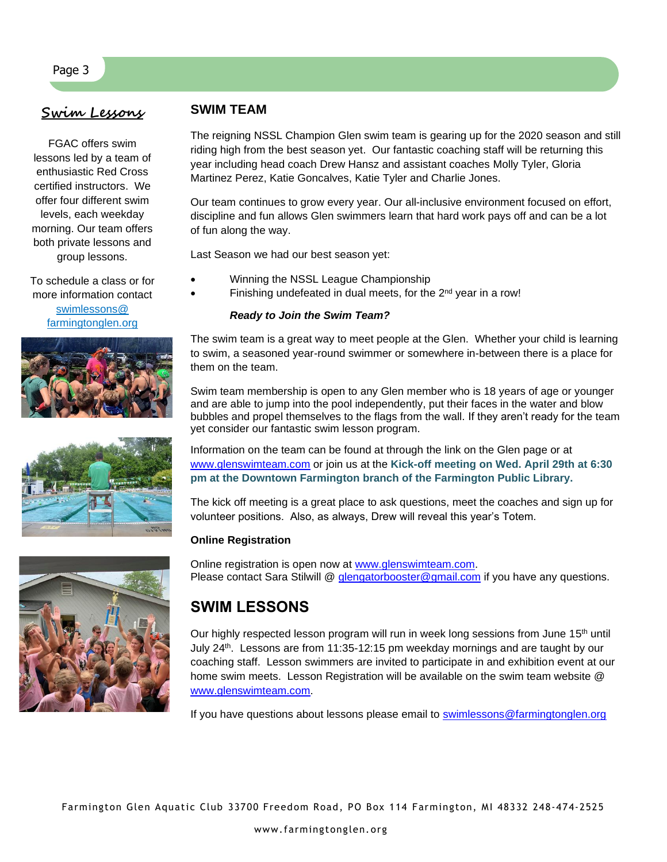# **Swim Lessons**

Page 3

FGAC offers swim lessons led by a team of enthusiastic Red Cross certified instructors. We offer four different swim levels, each weekday morning. Our team offers both private lessons and group lessons.

To schedule a class or for more information contact swimlessons@ farmingtonglen.org



$$
\frac{1}{\sqrt{2}}\sum_{i=1}^{n} \frac{1}{\sqrt{2}}\left(\frac{1}{\sqrt{2}}\right)^2
$$

# **SWIM TEAM**

The reigning NSSL Champion Glen swim team is gearing up for the 2020 season and still riding high from the best season yet. Our fantastic coaching staff will be returning this year including head coach Drew Hansz and assistant coaches Molly Tyler, Gloria Martinez Perez, Katie Goncalves, Katie Tyler and Charlie Jones.

Our team continues to grow every year. Our all-inclusive environment focused on effort, discipline and fun allows Glen swimmers learn that hard work pays off and can be a lot of fun along the way.

Last Season we had our best season yet:

- Winning the NSSL League Championship
- Finishing undefeated in dual meets, for the 2<sup>nd</sup> year in a row!

### *Ready to Join the Swim Team?*

The swim team is a great way to meet people at the Glen. Whether your child is learning to swim, a seasoned year-round swimmer or somewhere in-between there is a place for them on the team.

Swim team membership is open to any Glen member who is 18 years of age or younger and are able to jump into the pool independently, put their faces in the water and blow bubbles and propel themselves to the flags from the wall. If they aren't ready for the team yet consider our fantastic swim lesson program.

Information on the team can be found at through the link on the Glen page or at [www.glenswimteam.com](http://www.glenswimteam.com/) or join us at the **Kick-off meeting on Wed. April 29th at 6:30 pm at the Downtown Farmington branch of the Farmington Public Library.**

The kick off meeting is a great place to ask questions, meet the coaches and sign up for volunteer positions. Also, as always, Drew will reveal this year's Totem.

### **Online Registration**

Online registration is open now at [www.glenswimteam.com.](http://www.glenswimteam.com/) Please contact Sara Stilwill @ [glengatorbooster@gmail.com](mailto:glengatorbooster@gmail.com) if you have any questions.

# **SWIM LESSONS**

Our highly respected lesson program will run in week long sessions from June 15<sup>th</sup> until July 24<sup>th</sup>. Lessons are from 11:35-12:15 pm weekday mornings and are taught by our coaching staff. Lesson swimmers are invited to participate in and exhibition event at our home swim meets. Lesson Registration will be available on the swim team website @ [www.glenswimteam.com.](http://www.glenswimteam.com/)

If you have questions about lessons please email to [swimlessons@farmingtonglen.org](mailto:swimlessons@farmingtonglen.org)